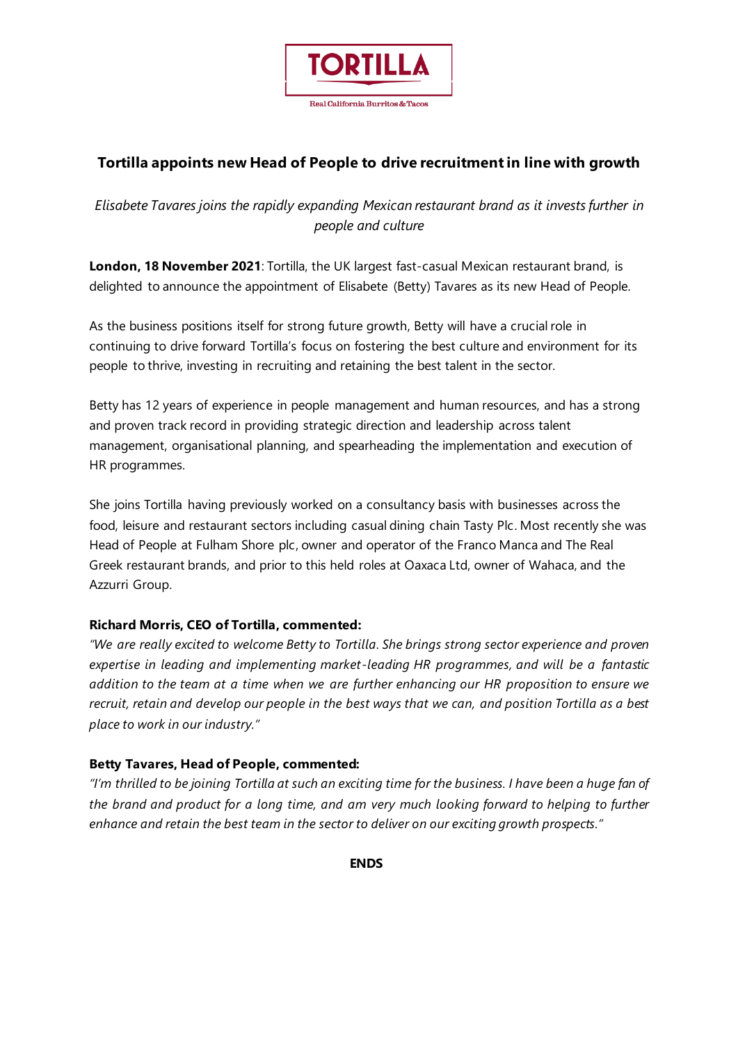

# **Tortilla appoints new Head of People to drive recruitment in line with growth**

## *Elisabete Tavares joins the rapidly expanding Mexican restaurant brand as it invests further in people and culture*

**London, 18 November 2021**: Tortilla, the UK largest fast-casual Mexican restaurant brand, is delighted to announce the appointment of Elisabete (Betty) Tavares as its new Head of People.

As the business positions itself for strong future growth, Betty will have a crucial role in continuing to drive forward Tortilla's focus on fostering the best culture and environment for its people to thrive, investing in recruiting and retaining the best talent in the sector.

Betty has 12 years of experience in people management and human resources, and has a strong and proven track record in providing strategic direction and leadership across talent management, organisational planning, and spearheading the implementation and execution of HR programmes.

She joins Tortilla having previously worked on a consultancy basis with businesses across the food, leisure and restaurant sectors including casual dining chain Tasty Plc. Most recently she was Head of People at Fulham Shore plc, owner and operator of the Franco Manca and The Real Greek restaurant brands, and prior to this held roles at Oaxaca Ltd, owner of Wahaca, and the Azzurri Group.

### **Richard Morris, CEO of Tortilla, commented:**

*"We are really excited to welcome Betty to Tortilla. She brings strong sector experience and proven expertise in leading and implementing market-leading HR programmes, and will be a fantastic addition to the team at a time when we are further enhancing our HR proposition to ensure we recruit, retain and develop our people in the best ways that we can, and position Tortilla as a best place to work in our industry."*

### **Betty Tavares, Head of People, commented:**

*"I'm thrilled to be joining Tortilla at such an exciting time for the business. I have been a huge fan of the brand and product for a long time, and am very much looking forward to helping to further enhance and retain the best team in the sector to deliver on our exciting growth prospects."*

**ENDS**